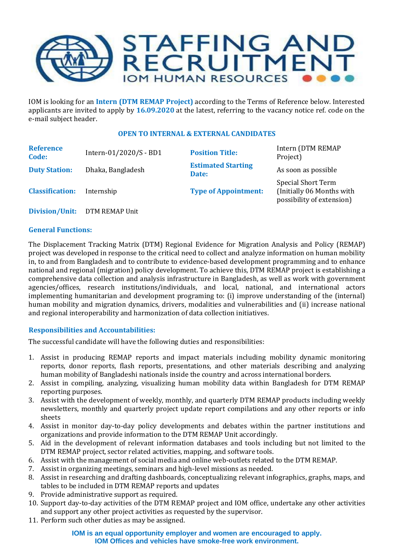

IOM is looking for an **Intern (DTM REMAP Project)** according to the Terms of Reference below. Interested applicants are invited to apply by **16.09.2020** at the latest, referring to the vacancy notice ref. code on the e-mail subject header.

# **OPEN TO INTERNAL & EXTERNAL CANDIDATES**

| <b>Reference</b><br>Code: | Intern-01/2020/S - BD1 | <b>Position Title:</b>             | Intern (DTM REMAP<br>Project)                                                 |
|---------------------------|------------------------|------------------------------------|-------------------------------------------------------------------------------|
| <b>Duty Station:</b>      | Dhaka, Bangladesh      | <b>Estimated Starting</b><br>Date: | As soon as possible                                                           |
| <b>Classification:</b>    | Internship             | <b>Type of Appointment:</b>        | Special Short Term<br>(Initially 06 Months with)<br>possibility of extension) |
|                           |                        |                                    |                                                                               |

**Division/Unit:** DTM REMAP Unit

## **General Functions:**

The Displacement Tracking Matrix (DTM) Regional Evidence for Migration Analysis and Policy (REMAP) project was developed in response to the critical need to collect and analyze information on human mobility in, to and from Bangladesh and to contribute to evidence-based development programming and to enhance national and regional (migration) policy development. To achieve this, DTM REMAP project is establishing a comprehensive data collection and analysis infrastructure in Bangladesh, as well as work with government agencies/offices, research institutions/individuals, and local, national, and international actors implementing humanitarian and development programing to: (i) improve understanding of the (internal) human mobility and migration dynamics, drivers, modalities and vulnerabilities and (ii) increase national and regional interoperability and harmonization of data collection initiatives.

# **Responsibilities and Accountabilities:**

The successful candidate will have the following duties and responsibilities:

- 1. Assist in producing REMAP reports and impact materials including mobility dynamic monitoring reports, donor reports, flash reports, presentations, and other materials describing and analyzing human mobility of Bangladeshi nationals inside the country and across international borders.
- 2. Assist in compiling, analyzing, visualizing human mobility data within Bangladesh for DTM REMAP reporting purposes.
- 3. Assist with the development of weekly, monthly, and quarterly DTM REMAP products including weekly newsletters, monthly and quarterly project update report compilations and any other reports or info sheets
- 4. Assist in monitor day-to-day policy developments and debates within the partner institutions and organizations and provide information to the DTM REMAP Unit accordingly.
- 5. Aid in the development of relevant information databases and tools including but not limited to the DTM REMAP project, sector related activities, mapping, and software tools.
- 6. Assist with the management of social media and online web-outlets related to the DTM REMAP.
- 7. Assist in organizing meetings, seminars and high-level missions as needed.
- 8. Assist in researching and drafting dashboards, conceptualizing relevant infographics, graphs, maps, and tables to be included in DTM REMAP reports and updates
- 9. Provide administrative support as required.
- 10. Support day-to-day activities of the DTM REMAP project and IOM office, undertake any other activities and support any other project activities as requested by the supervisor.
- 11. Perform such other duties as may be assigned.

### **IOM is an equal opportunity employer and women are encouraged to apply. IOM Offices and vehicles have smoke-free work environment.**